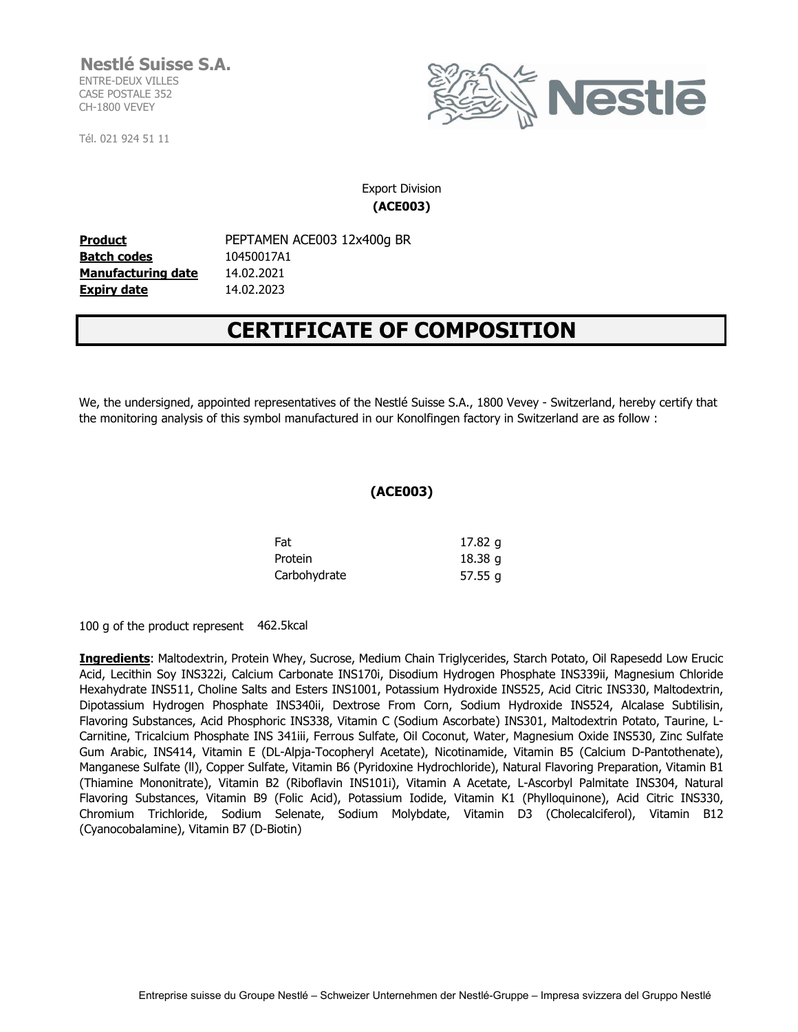## **Nestlé Suisse S.A.** ENTRE-DEUX VILLES

CASE POSTALE 352 CH-1800 VEVEY

Tél. 021 924 51 11



### Export Division **(ACE003)**

**Product** PEPTAMEN ACE003 12x400g BR **Batch codes** 10450017A1 **Manufacturing date** 14.02.2021 **Expiry date** 14.02.2023

# **CERTIFICATE OF COMPOSITION**

We, the undersigned, appointed representatives of the Nestlé Suisse S.A., 1800 Vevey - Switzerland, hereby certify that the monitoring analysis of this symbol manufactured in our Konolfingen factory in Switzerland are as follow :

#### **(ACE003)**

| Fat          | 17.82 g   |
|--------------|-----------|
| Protein      | 18.38 g   |
| Carbohydrate | 57.55 $g$ |

100 g of the product represent 462.5kcal

**Ingredients**: Maltodextrin, Protein Whey, Sucrose, Medium Chain Triglycerides, Starch Potato, Oil Rapesedd Low Erucic Acid, Lecithin Soy INS322i, Calcium Carbonate INS170i, Disodium Hydrogen Phosphate INS339ii, Magnesium Chloride Hexahydrate INS511, Choline Salts and Esters INS1001, Potassium Hydroxide INS525, Acid Citric INS330, Maltodextrin, Dipotassium Hydrogen Phosphate INS340ii, Dextrose From Corn, Sodium Hydroxide INS524, Alcalase Subtilisin, Flavoring Substances, Acid Phosphoric INS338, Vitamin C (Sodium Ascorbate) INS301, Maltodextrin Potato, Taurine, L-Carnitine, Tricalcium Phosphate INS 341iii, Ferrous Sulfate, Oil Coconut, Water, Magnesium Oxide INS530, Zinc Sulfate Gum Arabic, INS414, Vitamin E (DL-Alpja-Tocopheryl Acetate), Nicotinamide, Vitamin B5 (Calcium D-Pantothenate), Manganese Sulfate (ll), Copper Sulfate, Vitamin B6 (Pyridoxine Hydrochloride), Natural Flavoring Preparation, Vitamin B1 (Thiamine Mononitrate), Vitamin B2 (Riboflavin INS101i), Vitamin A Acetate, L-Ascorbyl Palmitate INS304, Natural Flavoring Substances, Vitamin B9 (Folic Acid), Potassium Iodide, Vitamin K1 (Phylloquinone), Acid Citric INS330. Chromium Trichloride, Sodium Selenate, Sodium Molybdate, Vitamin D3 (Cholecalciferol), Vitamin B12 (Cyanocobalamine), Vitamin B7 (D-Biotin)